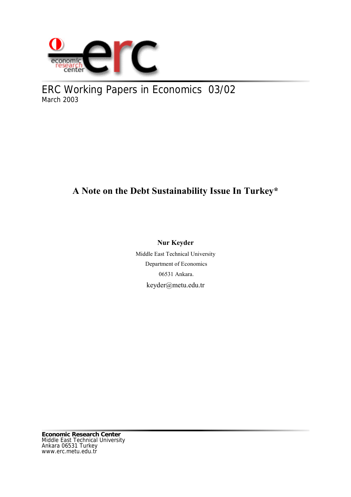

ERC Working Papers in Economics 03/02 March 2003

# **A Note on the Debt Sustainability Issue In Turkey\***

# **Nur Keyder**

Middle East Technical University Department of Economics 06531 Ankara. keyder@metu.edu.tr

**Economic Research Center** Middle East Technical University Ankara 06531 Turkey www.erc.metu.edu.tr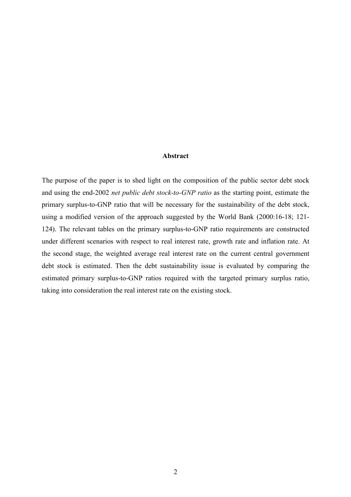# **Abstract**

The purpose of the paper is to shed light on the composition of the public sector debt stock and using the end-2002 *net public debt stock-to-GNP ratio* as the starting point, estimate the primary surplus-to-GNP ratio that will be necessary for the sustainability of the debt stock, using a modified version of the approach suggested by the World Bank (2000:16-18; 121- 124). The relevant tables on the primary surplus-to-GNP ratio requirements are constructed under different scenarios with respect to real interest rate, growth rate and inflation rate. At the second stage, the weighted average real interest rate on the current central government debt stock is estimated. Then the debt sustainability issue is evaluated by comparing the estimated primary surplus-to-GNP ratios required with the targeted primary surplus ratio, taking into consideration the real interest rate on the existing stock.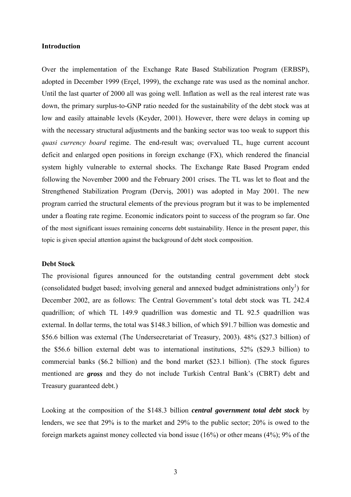# **Introduction**

Over the implementation of the Exchange Rate Based Stabilization Program (ERBSP), adopted in December 1999 (Erçel, 1999), the exchange rate was used as the nominal anchor. Until the last quarter of 2000 all was going well. Inflation as well as the real interest rate was down, the primary surplus-to-GNP ratio needed for the sustainability of the debt stock was at low and easily attainable levels (Keyder, 2001). However, there were delays in coming up with the necessary structural adjustments and the banking sector was too weak to support this *quasi currency board* regime. The end-result was; overvalued TL, huge current account deficit and enlarged open positions in foreign exchange (FX), which rendered the financial system highly vulnerable to external shocks. The Exchange Rate Based Program ended following the November 2000 and the February 2001 crises. The TL was let to float and the Strengthened Stabilization Program (Derviş, 2001) was adopted in May 2001. The new program carried the structural elements of the previous program but it was to be implemented under a floating rate regime. Economic indicators point to success of the program so far. One of the most significant issues remaining concerns debt sustainability. Hence in the present paper, this topic is given special attention against the background of debt stock composition.

# **Debt Stock**

The provisional figures announced for the outstanding central government debt stock (consolidated budget based; involving general and annexed budget administrations only<sup>1</sup>) for December 2002, are as follows: The Central Government's total debt stock was TL 242.4 quadrillion; of which TL 149.9 quadrillion was domestic and TL 92.5 quadrillion was external. In dollar terms, the total was \$148.3 billion, of which \$91.7 billion was domestic and \$56.6 billion was external (The Undersecretariat of Treasury, 2003). 48% (\$27.3 billion) of the \$56.6 billion external debt was to international institutions, 52% (\$29.3 billion) to commercial banks (\$6.2 billion) and the bond market (\$23.1 billion). (The stock figures mentioned are *gross* and they do not include Turkish Central Bank's (CBRT) debt and Treasury guaranteed debt.)

Looking at the composition of the \$148.3 billion *central government total debt stock* by lenders, we see that 29% is to the market and 29% to the public sector; 20% is owed to the foreign markets against money collected via bond issue (16%) or other means (4%); 9% of the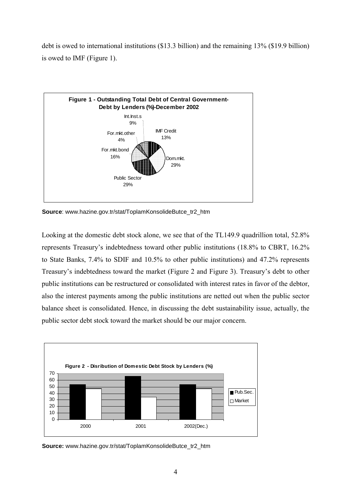debt is owed to international institutions (\$13.3 billion) and the remaining 13% (\$19.9 billion) is owed to IMF (Figure 1).



**Source:** www.hazine.gov.tr/stat/ToplamKonsolideButce\_tr2\_htm

Looking at the domestic debt stock alone, we see that of the TL149.9 quadrillion total, 52.8% represents Treasury's indebtedness toward other public institutions (18.8% to CBRT, 16.2% to State Banks, 7.4% to SDIF and 10.5% to other public institutions) and 47.2% represents Treasury's indebtedness toward the market (Figure 2 and Figure 3). Treasury's debt to other public institutions can be restructured or consolidated with interest rates in favor of the debtor, also the interest payments among the public institutions are netted out when the public sector balance sheet is consolidated. Hence, in discussing the debt sustainability issue, actually, the public sector debt stock toward the market should be our major concern.



**Source:** www.hazine.gov.tr/stat/ToplamKonsolideButce\_tr2\_htm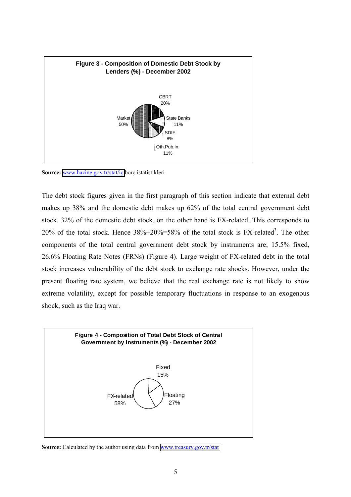

**Source:** [www.hazine.gov.tr/stat/iç](http://www.hazine.gov.tr/stat/i�) borç istatistikleri

The debt stock figures given in the first paragraph of this section indicate that external debt makes up 38% and the domestic debt makes up 62% of the total central government debt stock. 32% of the domestic debt stock, on the other hand is FX-related. This corresponds to 20% of the total stock. Hence  $38\% + 20\% = 58\%$  of the total stock is FX-related<sup>3</sup>. The other components of the total central government debt stock by instruments are; 15.5% fixed, 26.6% Floating Rate Notes (FRNs) (Figure 4). Large weight of FX-related debt in the total stock increases vulnerability of the debt stock to exchange rate shocks. However, under the present floating rate system, we believe that the real exchange rate is not likely to show extreme volatility, except for possible temporary fluctuations in response to an exogenous shock, such as the Iraq war.



**Source:** Calculated by the author using data from [www.treasury.gov.tr/stat](http://www.treasury.gov.tr/stat)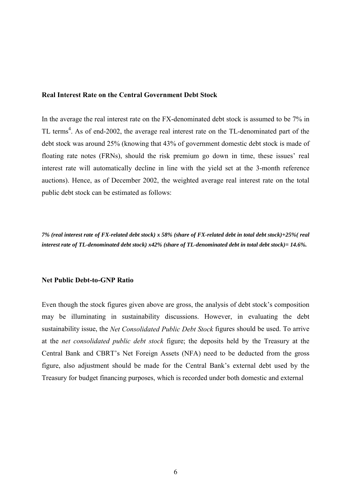# **Real Interest Rate on the Central Government Debt Stock**

In the average the real interest rate on the FX-denominated debt stock is assumed to be 7% in TL terms<sup>4</sup>. As of end-2002, the average real interest rate on the TL-denominated part of the debt stock was around 25% (knowing that 43% of government domestic debt stock is made of floating rate notes (FRNs), should the risk premium go down in time, these issues' real interest rate will automatically decline in line with the yield set at the 3-month reference auctions). Hence, as of December 2002, the weighted average real interest rate on the total public debt stock can be estimated as follows:

*7% (real interest rate of FX-related debt stock) x 58% (share of FX-related debt in total debt stock)+25%( real interest rate of TL-denominated debt stock) x42% (share of TL-denominated debt in total debt stock)= 14.6%.*

#### **Net Public Debt-to-GNP Ratio**

Even though the stock figures given above are gross, the analysis of debt stock's composition may be illuminating in sustainability discussions. However, in evaluating the debt sustainability issue, the *Net Consolidated Public Debt Stock* figures should be used. To arrive at the *net consolidated public debt stock* figure; the deposits held by the Treasury at the Central Bank and CBRT's Net Foreign Assets (NFA) need to be deducted from the gross figure, also adjustment should be made for the Central Bank's external debt used by the Treasury for budget financing purposes, which is recorded under both domestic and external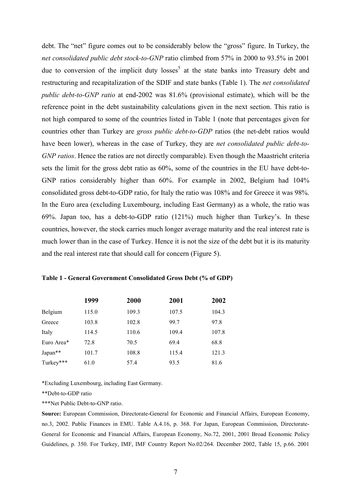debt. The "net" figure comes out to be considerably below the "gross" figure. In Turkey, the *net consolidated public debt stock-to-GNP* ratio climbed from 57% in 2000 to 93.5% in 2001 due to conversion of the implicit duty  $losses<sup>5</sup>$  at the state banks into Treasury debt and restructuring and recapitalization of the SDIF and state banks (Table 1). The *net consolidated public debt-to-GNP ratio* at end-2002 was 81.6% (provisional estimate), which will be the reference point in the debt sustainability calculations given in the next section. This ratio is not high compared to some of the countries listed in Table 1 (note that percentages given for countries other than Turkey are *gross public debt-to-GDP* ratios (the net-debt ratios would have been lower), whereas in the case of Turkey, they are *net consolidated public debt-to-GNP ratios*. Hence the ratios are not directly comparable). Even though the Maastricht criteria sets the limit for the gross debt ratio as 60%, some of the countries in the EU have debt-to-GNP ratios considerably higher than 60%. For example in 2002, Belgium had 104% consolidated gross debt-to-GDP ratio, for Italy the ratio was 108% and for Greece it was 98%. In the Euro area (excluding Luxembourg, including East Germany) as a whole, the ratio was 69%. Japan too, has a debt-to-GDP ratio (121%) much higher than Turkey's. In these countries, however, the stock carries much longer average maturity and the real interest rate is much lower than in the case of Turkey. Hence it is not the size of the debt but it is its maturity and the real interest rate that should call for concern (Figure 5).

|            | 1999  | <b>2000</b> | 2001  | 2002  |
|------------|-------|-------------|-------|-------|
| Belgium    | 115.0 | 109.3       | 107.5 | 104.3 |
| Greece     | 103.8 | 102.8       | 99.7  | 97.8  |
| Italy      | 114.5 | 110.6       | 109.4 | 107.8 |
| Euro Area* | 72.8  | 70.5        | 69.4  | 68.8  |
| Japan**    | 101.7 | 108.8       | 115.4 | 121.3 |
| Turkey***  | 61.0  | 57.4        | 93.5  | 81.6  |

#### **Table 1 - General Government Consolidated Gross Debt (% of GDP)**

\*Excluding Luxembourg, including East Germany.

\*\*Debt-to-GDP ratio

\*\*\*Net Public Debt-to-GNP ratio.

**Source:** European Commission, Directorate-General for Economic and Financial Affairs, European Economy, no.3, 2002. Public Finances in EMU. Table A.4.16, p. 368. For Japan, European Commission, Directorate-General for Economic and Financial Affairs, European Economy, No.72, 2001, 2001 Broad Economic Policy Guidelines, p. 350. For Turkey, IMF, IMF Country Report No.02/264. December 2002, Table 15, p.66. 2001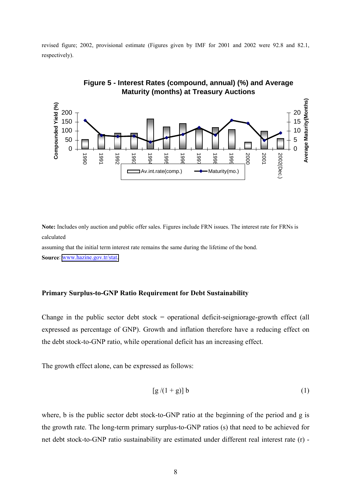revised figure; 2002, provisional estimate (Figures given by IMF for 2001 and 2002 were 92.8 and 82.1, respectively).



**Figure 5 - Interest Rates (compound, annual) (%) and Average Maturity (months) at Treasury Auctions**

**Note:** Includes only auction and public offer sales. Figures include FRN issues. The interest rate for FRNs is calculated

assuming that the initial term interest rate remains the same during the lifetime of the bond. **Source**: [www.hazine.gov.tr/stat.](http://www.hazine.gov.tr/stat)

# **Primary Surplus-to-GNP Ratio Requirement for Debt Sustainability**

Change in the public sector debt stock  $=$  operational deficit-seigniorage-growth effect (all expressed as percentage of GNP). Growth and inflation therefore have a reducing effect on the debt stock-to-GNP ratio, while operational deficit has an increasing effect.

The growth effect alone, can be expressed as follows:

$$
[g/(1+g)] b \tag{1}
$$

where, b is the public sector debt stock-to-GNP ratio at the beginning of the period and g is the growth rate. The long-term primary surplus-to-GNP ratios (s) that need to be achieved for net debt stock-to-GNP ratio sustainability are estimated under different real interest rate (r) -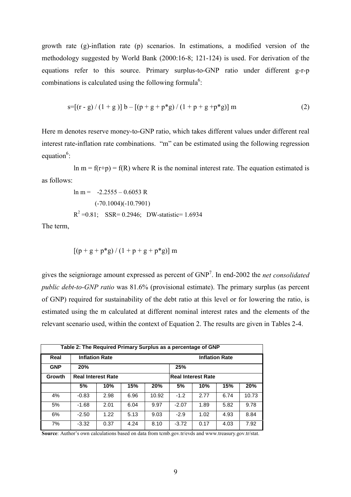growth rate (g)-inflation rate (p) scenarios. In estimations, a modified version of the methodology suggested by World Bank (2000:16-8; 121-124) is used. For derivation of the equations refer to this source. Primary surplus-to-GNP ratio under different g-r-p combinations is calculated using the following formula<sup>6</sup>:

$$
s = [(r - g) / (1 + g)] b - [(p + g + p * g) / (1 + p + g + p * g)] m
$$
 (2)

Here m denotes reserve money-to-GNP ratio, which takes different values under different real interest rate-inflation rate combinations. "m" can be estimated using the following regression equation $6$ :

ln m =  $f(r+p) = f(R)$  where R is the nominal interest rate. The equation estimated is as follows:

$$
\ln m = -2.2555 - 0.6053 R
$$
  
(-70.1004)(-10.7901)  
R<sup>2</sup> = 0.81; SSR= 0.2946; DW-statistic= 1.6934

The term,

$$
\left[ (p+g+p^{*}g)\,/\,(1+p+g+p^{*}g) \right]m
$$

gives the seigniorage amount expressed as percent of GNP7 . In end-2002 the *net consolidated public debt-to-GNP ratio* was 81.6% (provisional estimate). The primary surplus (as percent of GNP) required for sustainability of the debt ratio at this level or for lowering the ratio, is estimated using the m calculated at different nominal interest rates and the elements of the relevant scenario used, within the context of Equation 2. The results are given in Tables 2-4.

| Table 2: The Required Primary Surplus as a percentage of GNP |                           |      |      |                       |                           |      |      |       |  |  |
|--------------------------------------------------------------|---------------------------|------|------|-----------------------|---------------------------|------|------|-------|--|--|
| Real                                                         | <b>Inflation Rate</b>     |      |      | <b>Inflation Rate</b> |                           |      |      |       |  |  |
| <b>GNP</b>                                                   | 20%                       |      |      |                       | 25%                       |      |      |       |  |  |
| Growth                                                       | <b>Real Interest Rate</b> |      |      |                       | <b>Real Interest Rate</b> |      |      |       |  |  |
|                                                              | 5%                        | 10%  | 15%  | 20%                   | 5%                        | 10%  | 15%  | 20%   |  |  |
| 4%                                                           | $-0.83$                   | 2.98 | 6.96 | 10.92                 | $-1.2$                    | 2.77 | 6.74 | 10.73 |  |  |
| 5%                                                           | $-1.68$                   | 2.01 | 6.04 | 9.97                  | $-2.07$                   | 1.89 | 5.82 | 9.78  |  |  |
| 6%                                                           | $-2.50$                   | 1.22 | 5.13 | 9.03                  | $-2.9$                    | 1.02 | 4.93 | 8.84  |  |  |
| 7%                                                           | $-3.32$                   | 0.37 | 4.24 | 8.10                  | $-3.72$                   | 0.17 | 4.03 | 7.92  |  |  |

**Source**: Author's own calculations based on data from tcmb.gov.tr/evds and www.treasury.gov.tr/stat.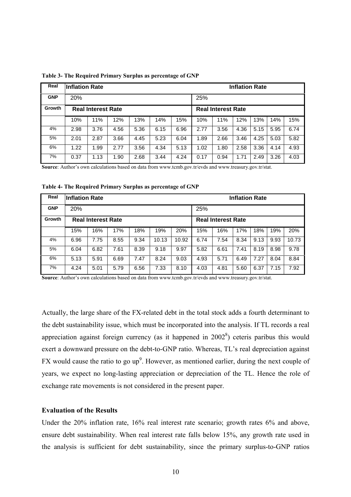| Real       | <b>Inflation Rate</b>     |      |      |      |      | <b>Inflation Rate</b> |      |                           |      |      |      |      |  |  |
|------------|---------------------------|------|------|------|------|-----------------------|------|---------------------------|------|------|------|------|--|--|
| <b>GNP</b> | 20%                       |      |      |      |      |                       |      | 25%                       |      |      |      |      |  |  |
| Growth     | <b>Real Interest Rate</b> |      |      |      |      |                       |      | <b>Real Interest Rate</b> |      |      |      |      |  |  |
|            | 10%                       | 11%  | 12%  | 13%  | 14%  | 15%                   | 10%  | 11%                       | 12%  | 13%  | 14%  | 15%  |  |  |
| 4%         | 2.98                      | 3.76 | 4.56 | 5.36 | 6.15 | 6.96                  | 2.77 | 3.56                      | 4.36 | 5.15 | 5.95 | 6.74 |  |  |
| 5%         | 2.01                      | 2.87 | 3.66 | 4.45 | 5.23 | 6.04                  | 1.89 | 2.66                      | 3.46 | 4.25 | 5.03 | 5.82 |  |  |
| 6%         | 1.22                      | 1.99 | 2.77 | 3.56 | 4.34 | 5.13                  | 1.02 | 1.80                      | 2.58 | 3.36 | 4.14 | 4.93 |  |  |
| 7%         | 0.37                      | 1.13 | 1.90 | 2.68 | 3.44 | 4.24                  | 0.17 | 0.94                      | 1.71 | 2.49 | 3.26 | 4.03 |  |  |

**Table 3- The Required Primary Surplus as percentage of GNP**

**Source**: Author's own calculations based on data from www.tcmb.gov.tr/evds and www.treasury.gov.tr/stat.

**Table 4- The Required Primary Surplus as percentage of GNP**

| Real       | Inflation Rate            |      |      |      |       | <b>Inflation Rate</b> |      |                           |      |      |      |       |  |  |
|------------|---------------------------|------|------|------|-------|-----------------------|------|---------------------------|------|------|------|-------|--|--|
| <b>GNP</b> | 20%                       |      |      |      |       |                       |      | 25%                       |      |      |      |       |  |  |
| Growth     | <b>Real Interest Rate</b> |      |      |      |       |                       |      | <b>Real Interest Rate</b> |      |      |      |       |  |  |
|            | 15%                       | 16%  | 17%  | 18%  | 19%   | 20%                   | 15%  | 16%                       | 17%  | 18%  | 19%  | 20%   |  |  |
| 4%         | 6.96                      | 7.75 | 8.55 | 9.34 | 10.13 | 10.92                 | 6.74 | 7.54                      | 8.34 | 9.13 | 9.93 | 10.73 |  |  |
| 5%         | 6.04                      | 6.82 | 7.61 | 8.39 | 9.18  | 9.97                  | 5.82 | 6.61                      | 7.41 | 8.19 | 8.98 | 9.78  |  |  |
| 6%         | 5.13                      | 5.91 | 6.69 | 7.47 | 8.24  | 9.03                  | 4.93 | 5.71                      | 6.49 | 7.27 | 8.04 | 8.84  |  |  |
| 7%         | 4.24                      | 5.01 | 5.79 | 6.56 | 7.33  | 8.10                  | 4.03 | 4.81                      | 5.60 | 6.37 | 7.15 | 7.92  |  |  |

**Source**: Author's own calculations based on data from www.tcmb.gov.tr/evds and www.treasury.gov.tr/stat.

Actually, the large share of the FX-related debt in the total stock adds a fourth determinant to the debt sustainability issue, which must be incorporated into the analysis. If TL records a real appreciation against foreign currency (as it happened in  $2002<sup>8</sup>$ ) ceteris paribus this would exert a downward pressure on the debt-to-GNP ratio. Whereas, TL's real depreciation against FX would cause the ratio to go up<sup>9</sup>. However, as mentioned earlier, during the next couple of years, we expect no long-lasting appreciation or depreciation of the TL. Hence the role of exchange rate movements is not considered in the present paper.

### **Evaluation of the Results**

Under the 20% inflation rate, 16% real interest rate scenario; growth rates 6% and above, ensure debt sustainability. When real interest rate falls below 15%, any growth rate used in the analysis is sufficient for debt sustainability, since the primary surplus-to-GNP ratios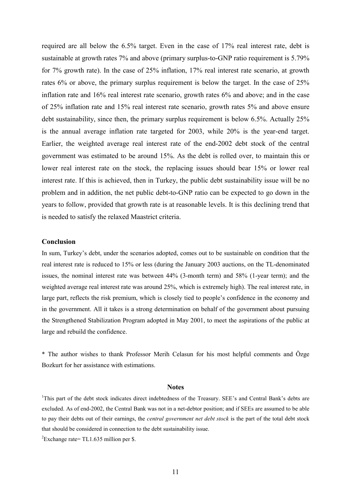required are all below the 6.5% target. Even in the case of 17% real interest rate, debt is sustainable at growth rates 7% and above (primary surplus-to-GNP ratio requirement is 5.79% for 7% growth rate). In the case of 25% inflation, 17% real interest rate scenario, at growth rates 6% or above, the primary surplus requirement is below the target. In the case of 25% inflation rate and 16% real interest rate scenario, growth rates 6% and above; and in the case of 25% inflation rate and 15% real interest rate scenario, growth rates 5% and above ensure debt sustainability, since then, the primary surplus requirement is below 6.5%. Actually 25% is the annual average inflation rate targeted for 2003, while 20% is the year-end target. Earlier, the weighted average real interest rate of the end-2002 debt stock of the central government was estimated to be around 15%. As the debt is rolled over, to maintain this or lower real interest rate on the stock, the replacing issues should bear 15% or lower real interest rate. If this is achieved, then in Turkey, the public debt sustainability issue will be no problem and in addition, the net public debt-to-GNP ratio can be expected to go down in the years to follow, provided that growth rate is at reasonable levels. It is this declining trend that is needed to satisfy the relaxed Maastrict criteria.

## **Conclusion**

In sum, Turkey's debt, under the scenarios adopted, comes out to be sustainable on condition that the real interest rate is reduced to 15% or less (during the January 2003 auctions, on the TL-denominated issues, the nominal interest rate was between 44% (3-month term) and 58% (1-year term); and the weighted average real interest rate was around 25%, which is extremely high). The real interest rate, in large part, reflects the risk premium, which is closely tied to people's confidence in the economy and in the government. All it takes is a strong determination on behalf of the government about pursuing the Strengthened Stabilization Program adopted in May 2001, to meet the aspirations of the public at large and rebuild the confidence.

\* The author wishes to thank Professor Merih Celasun for his most helpful comments and Özge Bozkurt for her assistance with estimations.

#### **Notes**

<sup>1</sup>This part of the debt stock indicates direct indebtedness of the Treasury. SEE's and Central Bank's debts are excluded. As of end-2002, the Central Bank was not in a net-debtor position; and if SEEs are assumed to be able to pay their debts out of their earnings, the *central government net debt stock* is the part of the total debt stock that should be considered in connection to the debt sustainability issue.

<sup>2</sup>Exchange rate= TL1.635 million per \$.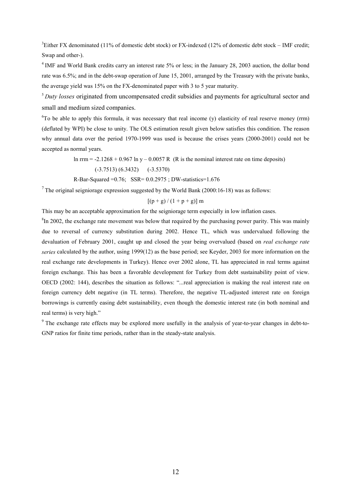<sup>3</sup>Either FX denominated (11% of domestic debt stock) or FX-indexed (12% of domestic debt stock – IMF credit; Swap and other-).

<sup>4</sup> IMF and World Bank credits carry an interest rate 5% or less; in the January 28, 2003 auction, the dollar bond rate was 6.5%; and in the debt-swap operation of June 15, 2001, arranged by the Treasury with the private banks, the average yield was 15% on the FX-denominated paper with 3 to 5 year maturity.

<sup>5</sup>*Duty losses* originated from uncompensated credit subsidies and payments for agricultural sector and small and medium sized companies.

<sup>6</sup>To be able to apply this formula, it was necessary that real income (y) elasticity of real reserve money (rrm) (deflated by WPI) be close to unity. The OLS estimation result given below satisfies this condition. The reason why annual data over the period 1970-1999 was used is because the crises years (2000-2001) could not be accepted as normal years.

ln rrm =  $-2.1268 + 0.967$  ln y  $- 0.0057$  R (R is the nominal interest rate on time deposits)

(-3.7513) (6.3432) (-3.5370)

R-Bar-Squared  $=0.76$ ; SSR=  $0.0.2975$ ; DW-statistics= $1.676$ 

 $7$  The original seigniorage expression suggested by the World Bank (2000:16-18) was as follows:

$$
[(p+g)/(1+p+g)]
$$
 m

This may be an acceptable approximation for the seigniorage term especially in low inflation cases.

 ${}^{8}$ In 2002, the exchange rate movement was below that required by the purchasing power parity. This was mainly due to reversal of currency substitution during 2002. Hence TL, which was undervalued following the devaluation of February 2001, caught up and closed the year being overvalued (based on *real exchange rate series* calculated by the author, using 1999(12) as the base period; see Keyder, 2003 for more information on the real exchange rate developments in Turkey). Hence over 2002 alone, TL has appreciated in real terms against foreign exchange. This has been a favorable development for Turkey from debt sustainability point of view. OECD (2002: 144), describes the situation as follows: "...real appreciation is making the real interest rate on foreign currency debt negative (in TL terms). Therefore, the negative TL-adjusted interest rate on foreign borrowings is currently easing debt sustainability, even though the domestic interest rate (in both nominal and real terms) is very high."

9 The exchange rate effects may be explored more usefully in the analysis of year-to-year changes in debt-to-GNP ratios for finite time periods, rather than in the steady-state analysis.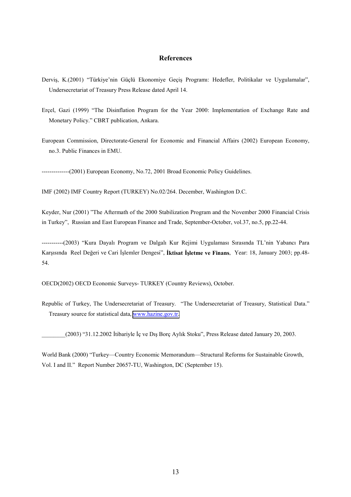## **References**

- Derviş, K.(2001) "Türkiye'nin Güçlü Ekonomiye Geçiş Programı: Hedefler, Politikalar ve Uygulamalar", Undersecretariat of Treasury Press Release dated April 14.
- Erçel, Gazi (1999) "The Disinflation Program for the Year 2000: Implementation of Exchange Rate and Monetary Policy." CBRT publication, Ankara.
- European Commission, Directorate-General for Economic and Financial Affairs (2002) European Economy, no.3. Public Finances in EMU.

--------------(2001) European Economy, No.72, 2001 Broad Economic Policy Guidelines.

IMF (2002) IMF Country Report (TURKEY) No.02/264. December, Washington D.C.

Keyder, Nur (2001) "The Aftermath of the 2000 Stabilization Program and the November 2000 Financial Crisis in Turkey", Russian and East European Finance and Trade, September-October, vol.37, no.5, pp.22-44.

-----------(2003) "Kura Dayalı Program ve Dalgalı Kur Rejimi Uygulaması Sırasında TL'nin Yabancı Para Karşısında Reel Değeri ve Cari İşlemler Dengesi", **İktisat İşletme ve Finans**, Year: 18, January 2003; pp.48- 54.

OECD(2002) OECD Economic Surveys- TURKEY (Country Reviews), October.

Republic of Turkey, The Undersecretariat of Treasury. "The Undersecretariat of Treasury, Statistical Data." Treasury source for statistical data, [www.hazine.gov.tr.](http://www.hazine.gov.tr/)

\_\_\_\_\_\_\_\_(2003) "31.12.2002 İtibariyle İç ve Dış Borç Aylık Stoku", Press Release dated January 20, 2003.

World Bank (2000) "Turkey—Country Economic Memorandum—Structural Reforms for Sustainable Growth, Vol. I and II." Report Number 20657-TU, Washington, DC (September 15).